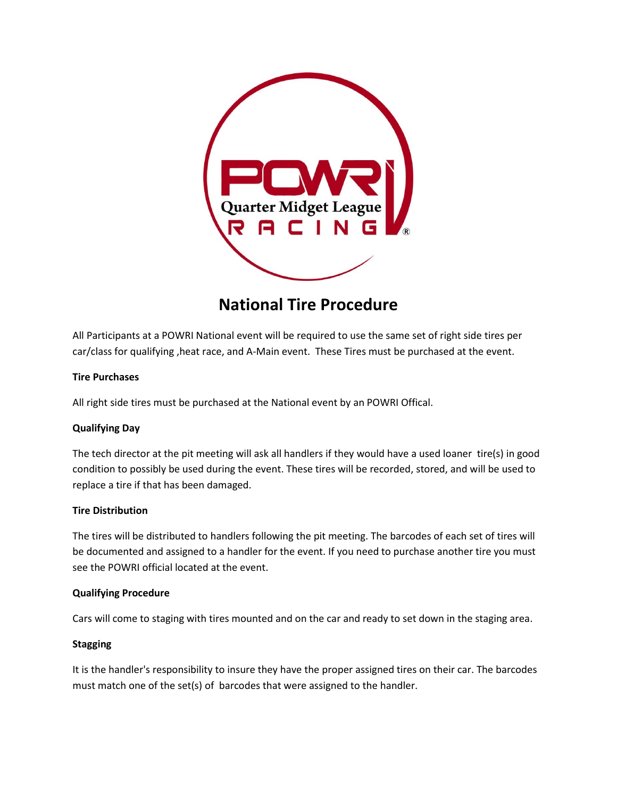

# **National Tire Procedure**

All Participants at a POWRI National event will be required to use the same set of right side tires per car/class for qualifying ,heat race, and A-Main event. These Tires must be purchased at the event.

## **Tire Purchases**

All right side tires must be purchased at the National event by an POWRI Offical.

## **Qualifying Day**

The tech director at the pit meeting will ask all handlers if they would have a used loaner tire(s) in good condition to possibly be used during the event. These tires will be recorded, stored, and will be used to replace a tire if that has been damaged.

## **Tire Distribution**

The tires will be distributed to handlers following the pit meeting. The barcodes of each set of tires will be documented and assigned to a handler for the event. If you need to purchase another tire you must see the POWRI official located at the event.

## **Qualifying Procedure**

Cars will come to staging with tires mounted and on the car and ready to set down in the staging area.

## **Stagging**

It is the handler's responsibility to insure they have the proper assigned tires on their car. The barcodes must match one of the set(s) of barcodes that were assigned to the handler.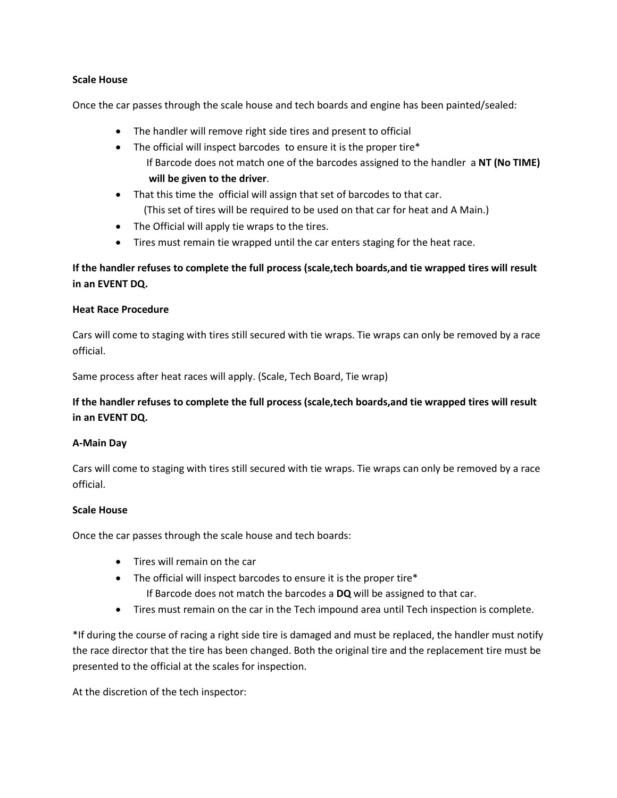## **Scale House**

Once the car passes through the scale house and tech boards and engine has been painted/sealed:

- The handler will remove right side tires and present to official
- The official will inspect barcodes to ensure it is the proper tire\* If Barcode does not match one of the barcodes assigned to the handler a **NT (No TIME) will be given to the driver**.
- That this time the official will assign that set of barcodes to that car. (This set of tires will be required to be used on that car for heat and A Main.)
- The Official will apply tie wraps to the tires.
- Tires must remain tie wrapped until the car enters staging for the heat race.

## **If the handler refuses to complete the full process (scale,tech boards,and tie wrapped tires will result in an EVENT DQ.**

## **Heat Race Procedure**

Cars will come to staging with tires still secured with tie wraps. Tie wraps can only be removed by a race official.

Same process after heat races will apply. (Scale, Tech Board, Tie wrap)

## **If the handler refuses to complete the full process (scale,tech boards,and tie wrapped tires will result in an EVENT DQ.**

## **A-Main Day**

Cars will come to staging with tires still secured with tie wraps. Tie wraps can only be removed by a race official.

## **Scale House**

Once the car passes through the scale house and tech boards:

- Tires will remain on the car
- The official will inspect barcodes to ensure it is the proper tire\*
	- If Barcode does not match the barcodes a **DQ** will be assigned to that car.
- Tires must remain on the car in the Tech impound area until Tech inspection is complete.

\*If during the course of racing a right side tire is damaged and must be replaced, the handler must notify the race director that the tire has been changed. Both the original tire and the replacement tire must be presented to the official at the scales for inspection.

At the discretion of the tech inspector: